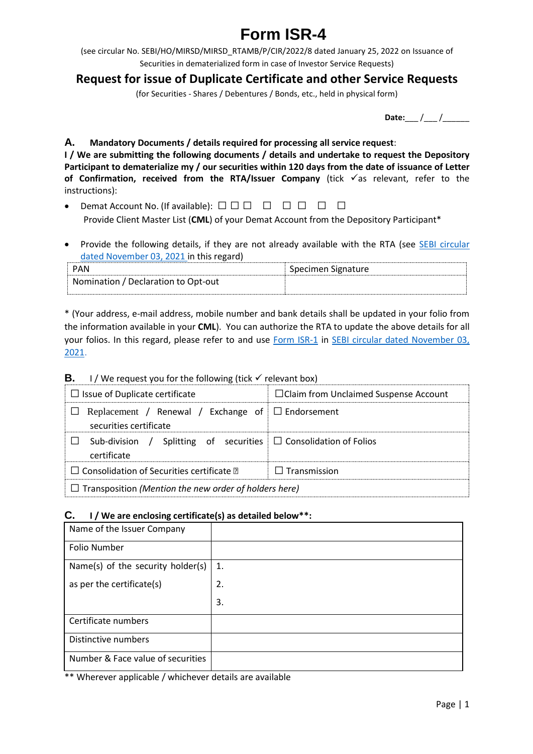# **Form ISR-4**

(see circular No. SEBI/HO/MIRSD/MIRSD\_RTAMB/P/CIR/2022/8 dated January 25, 2022 on Issuance of Securities in dematerialized form in case of Investor Service Requests)

## **Request for issue of Duplicate Certificate and other Service Requests**

(for Securities - Shares / Debentures / Bonds, etc., held in physical form)

| Date: |  |  |
|-------|--|--|

#### **A. Mandatory Documents / details required for processing all service request**:

**I / We are submitting the following documents / details and undertake to request the Depository Participant to dematerialize my / our securities within 120 days from the date of issuance of Letter of Confirmation, received from the RTA/Issuer Company** (tick  $\checkmark$  as relevant, refer to the instructions):

- Demat Account No. (If available):  $\Box$   $\Box$   $\Box$   $\Box$   $\Box$   $\Box$   $\Box$ Provide Client Master List (**CML**) of your Demat Account from the Depository Participant\*
- Provide the following details, if they are not already available with the RTA (see **SEBI circular** [dated November 03, 2021](https://www.sebi.gov.in/legal/circulars/nov-2021/common-and-simplified-norms-for-processing-investor-s-service-request-by-rtas-and-norms-for-furnishing-pan-kyc-details-and-nomination_53787.html) in this regard)

| <b>PAN</b>                          | Specimen Signature |
|-------------------------------------|--------------------|
| Nomination / Declaration to Opt-out |                    |

\* (Your address, e-mail address, mobile number and bank details shall be updated in your folio from the information available in your **CML**). You can authorize the RTA to update the above details for all your folios. In this regard, please refer to and use [Form ISR-1](https://www.sebi.gov.in/sebi_data/commondocs/dec-2021/pdf%20Form%20ISR-1%20(1)_p.pdf) in [SEBI circular dated November 03,](https://www.sebi.gov.in/legal/circulars/nov-2021/common-and-simplified-norms-for-processing-investor-s-service-request-by-rtas-and-norms-for-furnishing-pan-kyc-details-and-nomination_53787.html)  [2021.](https://www.sebi.gov.in/legal/circulars/nov-2021/common-and-simplified-norms-for-processing-investor-s-service-request-by-rtas-and-norms-for-furnishing-pan-kyc-details-and-nomination_53787.html)

| <b>B.</b> I / We request you for the following (tick $\checkmark$ relevant box)      |                                              |  |  |  |
|--------------------------------------------------------------------------------------|----------------------------------------------|--|--|--|
| $\Box$ Issue of Duplicate certificate                                                | $\Box$ Claim from Unclaimed Suspense Account |  |  |  |
| Replacement / Renewal / Exchange of $\Box$ Endorsement<br>securities certificate     |                                              |  |  |  |
| Sub-division / Splitting of securities $\Box$ Consolidation of Folios<br>certificate |                                              |  |  |  |
| $\Box$ Consolidation of Securities certificate $\Box$                                | $\Box$ Transmission                          |  |  |  |
| $\Box$ Transposition (Mention the new order of holders here)                         |                                              |  |  |  |

## **B.** I / We request you for the following (tick  $\checkmark$  relevant box)

## **C. I / We are enclosing certificate(s) as detailed below\*\*:**

| Name of the Issuer Company        |    |
|-----------------------------------|----|
| Folio Number                      |    |
| Name(s) of the security holder(s) | 1. |
| as per the certificate(s)         | 2. |
|                                   | 3. |
| Certificate numbers               |    |
| Distinctive numbers               |    |
| Number & Face value of securities |    |

\*\* Wherever applicable / whichever details are available